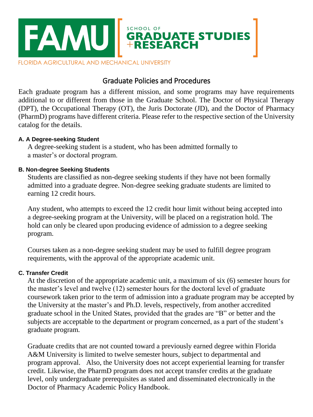

# Graduate Policies and Procedures

Each graduate program has a different mission, and some programs may have requirements additional to or different from those in the Graduate School. The Doctor of Physical Therapy (DPT), the Occupational Therapy (OT), the Juris Doctorate (JD), and the Doctor of Pharmacy (PharmD) programs have different criteria. Please refer to the respective section of the University catalog for the details.

## **A. A Degree-seeking Student**

A degree-seeking student is a student, who has been admitted formally to a master's or doctoral program.

# **B. Non-degree Seeking Students**

Students are classified as non-degree seeking students if they have not been formally admitted into a graduate degree. Non-degree seeking graduate students are limited to earning 12 credit hours.

Any student, who attempts to exceed the 12 credit hour limit without being accepted into a degree-seeking program at the University, will be placed on a registration hold. The hold can only be cleared upon producing evidence of admission to a degree seeking program.

Courses taken as a non-degree seeking student may be used to fulfill degree program requirements, with the approval of the appropriate academic unit.

# **C. Transfer Credit**

At the discretion of the appropriate academic unit, a maximum of six (6) semester hours for the master's level and twelve (12) semester hours for the doctoral level of graduate coursework taken prior to the term of admission into a graduate program may be accepted by the University at the master's and Ph.D. levels, respectively, from another accredited graduate school in the United States, provided that the grades are "B" or better and the subjects are acceptable to the department or program concerned, as a part of the student's graduate program.

Graduate credits that are not counted toward a previously earned degree within Florida A&M University is limited to twelve semester hours, subject to departmental and program approval. Also, the University does not accept experiential learning for transfer credit. Likewise, the PharmD program does not accept transfer credits at the graduate level, only undergraduate prerequisites as stated and disseminated electronically in the Doctor of Pharmacy Academic Policy Handbook.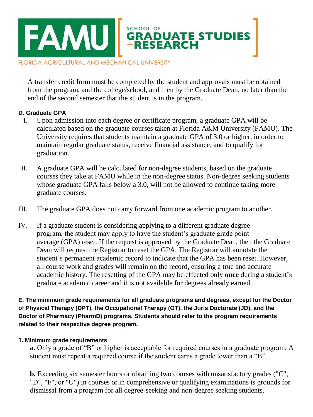

A transfer credit form must be completed by the student and approvals must be obtained from the program, and the college/school, and then by the Graduate Dean, no later than the end of the second semester that the student is in the program.

# **D. Graduate GPA**

- I. Upon admission into each degree or certificate program, a graduate GPA will be calculated based on the graduate courses taken at Florida A&M University (FAMU). The University requires that students maintain a graduate GPA of 3.0 or higher, in order to maintain regular graduate status, receive financial assistance, and to qualify for graduation.
- II. A graduate GPA will be calculated for non-degree students, based on the graduate courses they take at FAMU while in the non-degree status. Non-degree seeking students whose graduate GPA falls below a 3.0, will not be allowed to continue taking more graduate courses.
- III. The graduate GPA does not carry forward from one academic program to another.
- IV. If a graduate student is considering applying to a different graduate degree program, the student may apply to have the student's graduate grade point average (GPA) reset. If the request is approved by the Graduate Dean, then the Graduate Dean will request the Registrar to reset the GPA. The Registrar will annotate the student's permanent academic record to indicate that the GPA has been reset. However, all course work and grades will remain on the record, ensuring a true and accurate academic history. The resetting of the GPA may be effected only **once** during a student's graduate academic career and it is not available for degrees already earned.

**E. The minimum grade requirements for all graduate programs and degrees, except for the Doctor of Physical Therapy (DPT), the Occupational Therapy (OT), the Juris Doctorate (JD), and the Doctor of Pharmacy (PharmD) programs. Students should refer to the program requirements related to their respective degree program.** 

#### **1. Minimum grade requirements**

**a.** Only a grade of "B" or higher is acceptable for required courses in a graduate program. A student must repeat a required course if the student earns a grade lower than a "B".

**b.** Exceeding six semester hours or obtaining two courses with unsatisfactory grades ("C", "D", "F", or "U") in courses or in comprehensive or qualifying examinations is grounds for dismissal from a program for all degree-seeking and non-degree seeking students.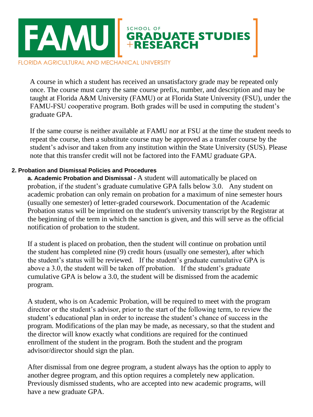

A course in which a student has received an unsatisfactory grade may be repeated only once. The course must carry the same course prefix, number, and description and may be taught at Florida A&M University (FAMU) or at Florida State University (FSU), under the FAMU-FSU cooperative program. Both grades will be used in computing the student's graduate GPA.

If the same course is neither available at FAMU nor at FSU at the time the student needs to repeat the course, then a substitute course may be approved as a transfer course by the student's advisor and taken from any institution within the State University (SUS). Please note that this transfer credit will not be factored into the FAMU graduate GPA.

## **2. Probation and Dismissal Policies and Procedures**

**a. Academic Probation and Dismissal -** A student will automatically be placed on probation, if the student's graduate cumulative GPA falls below 3.0. Any student on academic probation can only remain on probation for a maximum of nine semester hours (usually one semester) of letter-graded coursework. Documentation of the Academic Probation status will be imprinted on the student's university transcript by the Registrar at the beginning of the term in which the sanction is given, and this will serve as the official notification of probation to the student.

If a student is placed on probation, then the student will continue on probation until the student has completed nine (9) credit hours (usually one semester), after which the student's status will be reviewed. If the student's graduate cumulative GPA is above a 3.0, the student will be taken off probation. If the student's graduate cumulative GPA is below a 3.0, the student will be dismissed from the academic program.

A student, who is on Academic Probation, will be required to meet with the program director or the student's advisor, prior to the start of the following term, to review the student's educational plan in order to increase the student's chance of success in the program. Modifications of the plan may be made, as necessary, so that the student and the director will know exactly what conditions are required for the continued enrollment of the student in the program. Both the student and the program advisor/director should sign the plan.

After dismissal from one degree program, a student always has the option to apply to another degree program, and this option requires a completely new application. Previously dismissed students, who are accepted into new academic programs, will have a new graduate GPA.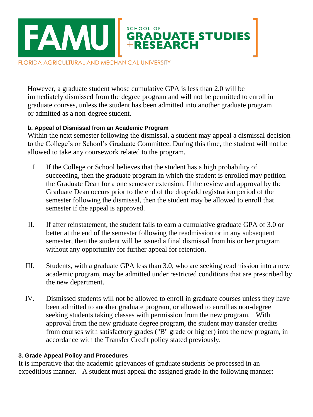

However, a graduate student whose cumulative GPA is less than 2.0 will be immediately dismissed from the degree program and will not be permitted to enroll in graduate courses, unless the student has been admitted into another graduate program or admitted as a non-degree student.

# **b. Appeal of Dismissal from an Academic Program**

Within the next semester following the dismissal, a student may appeal a dismissal decision to the College's or School's Graduate Committee. During this time, the student will not be allowed to take any coursework related to the program.

- I. If the College or School believes that the student has a high probability of succeeding, then the graduate program in which the student is enrolled may petition the Graduate Dean for a one semester extension. If the review and approval by the Graduate Dean occurs prior to the end of the drop/add registration period of the semester following the dismissal, then the student may be allowed to enroll that semester if the appeal is approved.
- II. If after reinstatement, the student fails to earn a cumulative graduate GPA of 3.0 or better at the end of the semester following the readmission or in any subsequent semester, then the student will be issued a final dismissal from his or her program without any opportunity for further appeal for retention.
- III. Students, with a graduate GPA less than 3.0, who are seeking readmission into a new academic program, may be admitted under restricted conditions that are prescribed by the new department.
- IV. Dismissed students will not be allowed to enroll in graduate courses unless they have been admitted to another graduate program, or allowed to enroll as non-degree seeking students taking classes with permission from the new program. With approval from the new graduate degree program, the student may transfer credits from courses with satisfactory grades ("B" grade or higher) into the new program, in accordance with the Transfer Credit policy stated previously.

# **3. Grade Appeal Policy and Procedures**

It is imperative that the academic grievances of graduate students be processed in an expeditious manner. A student must appeal the assigned grade in the following manner: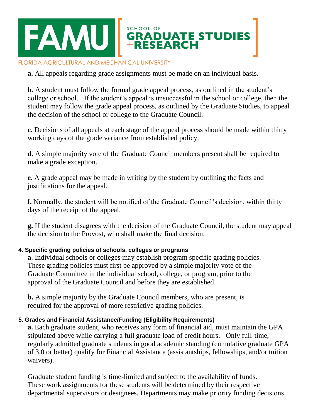# SCHOOL OF<br>GRADUATE STUDIES<br>+RESEARCH **EAMUI**

#### FLORIDA AGRICULTURAL AND MECHANICAL UNIVERSITY

**a.** All appeals regarding grade assignments must be made on an individual basis.

**b.** A student must follow the formal grade appeal process, as outlined in the student's college or school. If the student's appeal is unsuccessful in the school or college, then the student may follow the grade appeal process, as outlined by the Graduate Studies, to appeal the decision of the school or college to the Graduate Council.

**c.** Decisions of all appeals at each stage of the appeal process should be made within thirty working days of the grade variance from established policy.

**d.** A simple majority vote of the Graduate Council members present shall be required to make a grade exception.

**e.** A grade appeal may be made in writing by the student by outlining the facts and justifications for the appeal.

**f.** Normally, the student will be notified of the Graduate Council's decision, within thirty days of the receipt of the appeal.

**g.** If the student disagrees with the decision of the Graduate Council, the student may appeal the decision to the Provost, who shall make the final decision.

# **4. Specific grading policies of schools, colleges or programs**

**a**. Individual schools or colleges may establish program specific grading policies. These grading policies must first be approved by a simple majority vote of the Graduate Committee in the individual school, college, or program, prior to the approval of the Graduate Council and before they are established.

**b.** A simple majority by the Graduate Council members, who are present, is required for the approval of more restrictive grading policies.

# **5. Grades and Financial Assistance/Funding (Eligibility Requirements)**

**a.** Each graduate student, who receives any form of financial aid, must maintain the GPA stipulated above while carrying a full graduate load of credit hours. Only full-time, regularly admitted graduate students in good academic standing (cumulative graduate GPA of 3.0 or better) qualify for Financial Assistance (assistantships, fellowships, and/or tuition waivers).

Graduate student funding is time-limited and subject to the availability of funds. These work assignments for these students will be determined by their respective departmental supervisors or designees. Departments may make priority funding decisions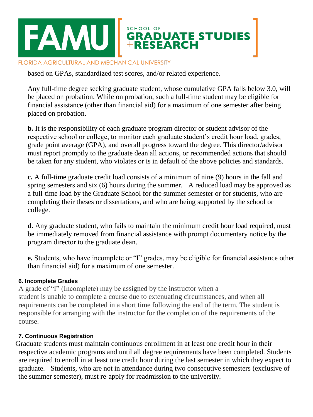

based on GPAs, standardized test scores, and/or related experience.

Any full-time degree seeking graduate student, whose cumulative GPA falls below 3.0, will be placed on probation. While on probation, such a full-time student may be eligible for financial assistance (other than financial aid) for a maximum of one semester after being placed on probation.

**b.** It is the responsibility of each graduate program director or student advisor of the respective school or college, to monitor each graduate student's credit hour load, grades, grade point average (GPA), and overall progress toward the degree. This director/advisor must report promptly to the graduate dean all actions, or recommended actions that should be taken for any student, who violates or is in default of the above policies and standards.

**c.** A full-time graduate credit load consists of a minimum of nine (9) hours in the fall and spring semesters and six (6) hours during the summer. A reduced load may be approved as a full-time load by the Graduate School for the summer semester or for students, who are completing their theses or dissertations, and who are being supported by the school or college.

**d.** Any graduate student, who fails to maintain the minimum credit hour load required, must be immediately removed from financial assistance with prompt documentary notice by the program director to the graduate dean.

**e.** Students, who have incomplete or "I" grades, may be eligible for financial assistance other than financial aid) for a maximum of one semester.

# **6. Incomplete Grades**

A grade of "I" (Incomplete) may be assigned by the instructor when a student is unable to complete a course due to extenuating circumstances, and when all requirements can be completed in a short time following the end of the term. The student is responsible for arranging with the instructor for the completion of the requirements of the course.

# **7. Continuous Registration**

Graduate students must maintain continuous enrollment in at least one credit hour in their respective academic programs and until all degree requirements have been completed. Students are required to enroll in at least one credit hour during the last semester in which they expect to graduate. Students, who are not in attendance during two consecutive semesters (exclusive of the summer semester), must re-apply for readmission to the university.